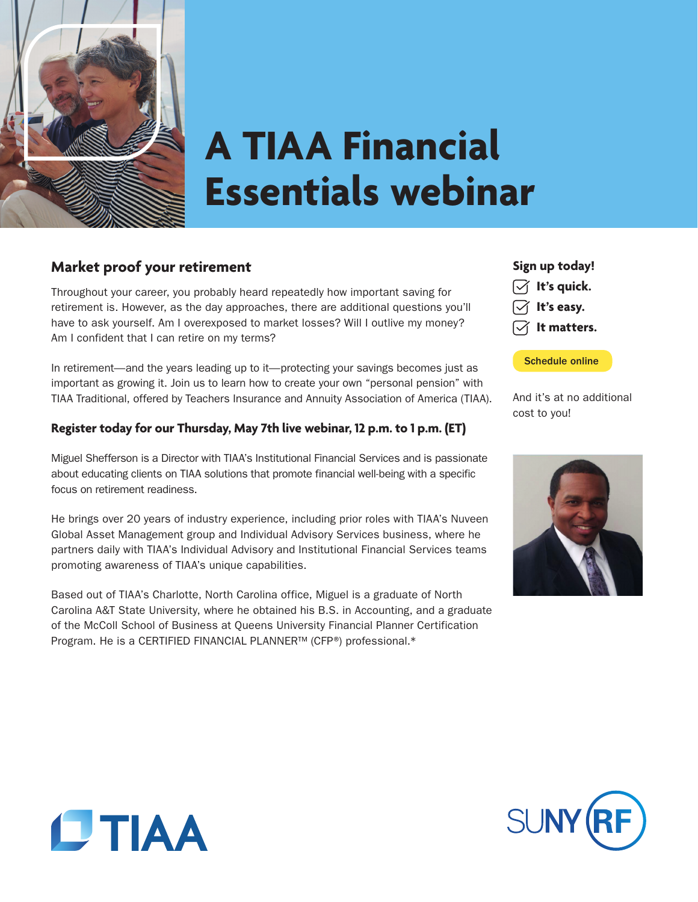

# **A TIAA Financial Essentials webinar**

# **Market proof your retirement**

Throughout your career, you probably heard repeatedly how important saving for retirement is. However, as the day approaches, there are additional questions you'll have to ask yourself. Am I overexposed to market losses? Will I outlive my money? Am I confident that I can retire on my terms?

In retirement—and the years leading up to it—protecting your savings becomes just as important as growing it. Join us to learn how to create your own "personal pension" with TIAA Traditional, offered by Teachers Insurance and Annuity Association of America (TIAA).

### **Register today for our Thursday, May 7th live webinar, 12 p.m. to 1 p.m. (ET)**

Miguel Shefferson is a Director with TIAA's Institutional Financial Services and is passionate about educating clients on TIAA solutions that promote financial well-being with a specific focus on retirement readiness.

He brings over 20 years of industry experience, including prior roles with TIAA's Nuveen Global Asset Management group and Individual Advisory Services business, where he partners daily with TIAA's Individual Advisory and Institutional Financial Services teams promoting awareness of TIAA's unique capabilities.

Based out of TIAA's Charlotte, North Carolina office, Miguel is a graduate of North Carolina A&T State University, where he obtained his B.S. in Accounting, and a graduate of the McColl School of Business at Queens University Financial Planner Certification Program. He is a CERTIFIED FINANCIAL PLANNER™ (CFP®) professional.\*

## **Sign up today!**



[Schedule online](https://event.on24.com/wcc/r/2208790/669E4C39B26A2AFF537A52C056BD297B?partnerref=em)

And it's at no additional cost to you!